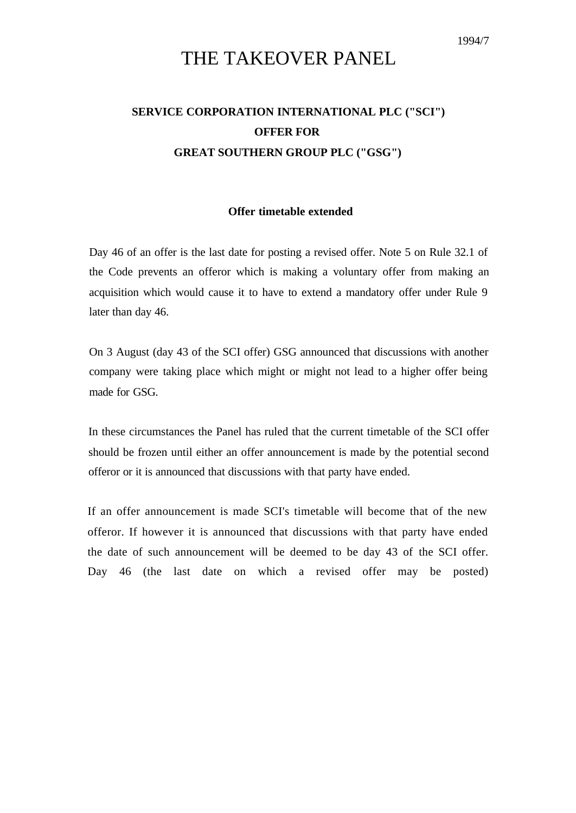## THE TAKEOVER PANEL

## **SERVICE CORPORATION INTERNATIONAL PLC ("SCI") OFFER FOR GREAT SOUTHERN GROUP PLC ("GSG")**

## **Offer timetable extended**

Day 46 of an offer is the last date for posting a revised offer. Note 5 on Rule 32.1 of the Code prevents an offeror which is making a voluntary offer from making an acquisition which would cause it to have to extend a mandatory offer under Rule 9 later than day 46.

On 3 August (day 43 of the SCI offer) GSG announced that discussions with another company were taking place which might or might not lead to a higher offer being made for GSG.

In these circumstances the Panel has ruled that the current timetable of the SCI offer should be frozen until either an offer announcement is made by the potential second offeror or it is announced that discussions with that party have ended.

If an offer announcement is made SCI's timetable will become that of the new offeror. If however it is announced that discussions with that party have ended the date of such announcement will be deemed to be day 43 of the SCI offer. Day 46 (the last date on which a revised offer may be posted)